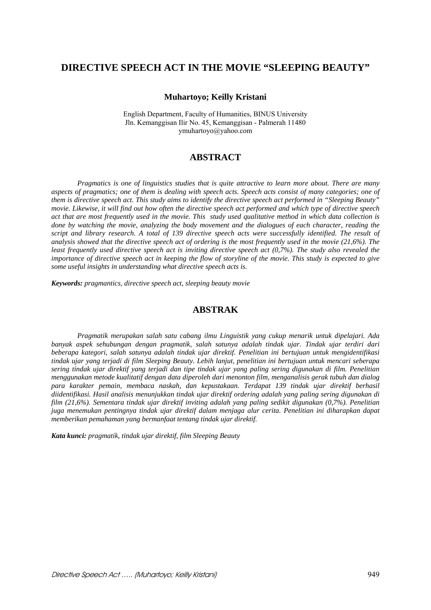# **DIRECTIVE SPEECH ACT IN THE MOVIE "SLEEPING BEAUTY"**

#### **Muhartoyo; Keilly Kristani**

English Department, Faculty of Humanities, BINUS University Jln. Kemanggisan Ilir No. 45, Kemanggisan - Palmerah 11480 ymuhartoyo@yahoo.com

# **ABSTRACT**

*Pragmatics is one of linguistics studies that is quite attractive to learn more about. There are many aspects of pragmatics; one of them is dealing with speech acts. Speech acts consist of many categories; one of them is directive speech act. This study aims to identify the directive speech act performed in "Sleeping Beauty" movie. Likewise, it will find out how often the directive speech act performed and which type of directive speech act that are most frequently used in the movie. This study used qualitative method in which data collection is done by watching the movie, analyzing the body movement and the dialogues of each character, reading the script and library research. A total of 139 directive speech acts were successfully identified. The result of analysis showed that the directive speech act of ordering is the most frequently used in the movie (21,6%). The least frequently used directive speech act is inviting directive speech act (0,7%). The study also revealed the importance of directive speech act in keeping the flow of storyline of the movie. This study is expected to give some useful insights in understanding what directive speech acts is.* 

*Keywords: pragmantics, directive speech act, sleeping beauty movie* 

## **ABSTRAK**

*Pragmatik merupakan salah satu cabang ilmu Linguistik yang cukup menarik untuk dipelajari. Ada banyak aspek sehubungan dengan pragmatik, salah satunya adalah tindak ujar. Tindak ujar terdiri dari beberapa kategori, salah satunya adalah tindak ujar direktif. Penelitian ini bertujuan untuk mengidentifikasi tindak ujar yang terjadi di film Sleeping Beauty. Lebih lanjut, penelitian ini bertujuan untuk mencari seberapa sering tindak ujar direktif yang terjadi dan tipe tindak ujar yang paling sering digunakan di film. Penelitian menggunakan metode kualitatif dengan data diperoleh dari menonton film, menganalisis gerak tubuh dan dialog para karakter pemain, membaca naskah, dan kepustakaan. Terdapat 139 tindak ujar direktif berhasil diidentifikasi. Hasil analisis menunjukkan tindak ujar direktif ordering adalah yang paling sering digunakan di film (21,6%). Sementara tindak ujar direktif inviting adalah yang paling sedikit digunakan (0,7%). Penelitian juga menemukan pentingnya tindak ujar direktif dalam menjaga alur cerita. Penelitian ini diharapkan dapat memberikan pemahaman yang bermanfaat tentang tindak ujar direktif.* 

*Kata kunci: pragmatik, tindak ujar direktif, film Sleeping Beauty*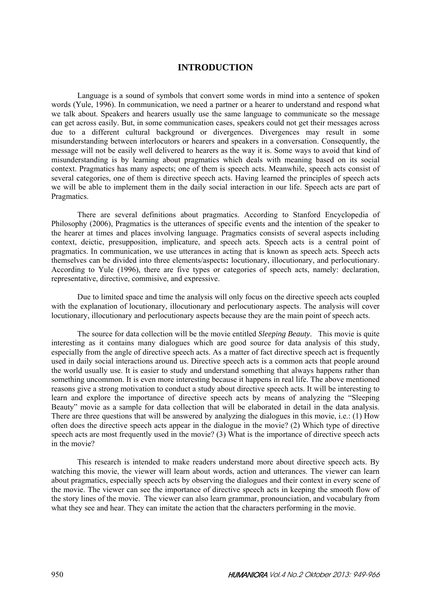# **INTRODUCTION**

Language is a sound of symbols that convert some words in mind into a sentence of spoken words (Yule, 1996). In communication, we need a partner or a hearer to understand and respond what we talk about. Speakers and hearers usually use the same language to communicate so the message can get across easily. But, in some communication cases, speakers could not get their messages across due to a different cultural background or divergences. Divergences may result in some misunderstanding between interlocutors or hearers and speakers in a conversation. Consequently, the message will not be easily well delivered to hearers as the way it is. Some ways to avoid that kind of misunderstanding is by learning about pragmatics which deals with meaning based on its social context. Pragmatics has many aspects; one of them is speech acts. Meanwhile, speech acts consist of several categories, one of them is directive speech acts. Having learned the principles of speech acts we will be able to implement them in the daily social interaction in our life. Speech acts are part of Pragmatics.

There are several definitions about pragmatics. According to Stanford Encyclopedia of Philosophy (2006), Pragmatics is the utterances of specific events and the intention of the speaker to the hearer at times and places involving language. Pragmatics consists of several aspects including context, deictic, presupposition, implicature, and speech acts. Speech acts is a central point of pragmatics. In communication, we use utterances in acting that is known as speech acts. Speech acts themselves can be divided into three elements/aspects**:** locutionary, illocutionary, and perlocutionary. According to Yule (1996), there are five types or categories of speech acts, namely: declaration, representative, directive, commisive, and expressive.

Due to limited space and time the analysis will only focus on the directive speech acts coupled with the explanation of locutionary, illocutionary and perlocutionary aspects. The analysis will cover locutionary, illocutionary and perlocutionary aspects because they are the main point of speech acts.

The source for data collection will be the movie entitled *Sleeping Beauty*. This movie is quite interesting as it contains many dialogues which are good source for data analysis of this study, especially from the angle of directive speech acts. As a matter of fact directive speech act is frequently used in daily social interactions around us. Directive speech acts is a common acts that people around the world usually use. It is easier to study and understand something that always happens rather than something uncommon. It is even more interesting because it happens in real life. The above mentioned reasons give a strong motivation to conduct a study about directive speech acts. It will be interesting to learn and explore the importance of directive speech acts by means of analyzing the "Sleeping Beauty" movie as a sample for data collection that will be elaborated in detail in the data analysis. There are three questions that will be answered by analyzing the dialogues in this movie, i.e.: (1) How often does the directive speech acts appear in the dialogue in the movie? (2) Which type of directive speech acts are most frequently used in the movie? (3) What is the importance of directive speech acts in the movie?

This research is intended to make readers understand more about directive speech acts. By watching this movie, the viewer will learn about words, action and utterances. The viewer can learn about pragmatics, especially speech acts by observing the dialogues and their context in every scene of the movie. The viewer can see the importance of directive speech acts in keeping the smooth flow of the story lines of the movie. The viewer can also learn grammar, pronounciation, and vocabulary from what they see and hear. They can imitate the action that the characters performing in the movie.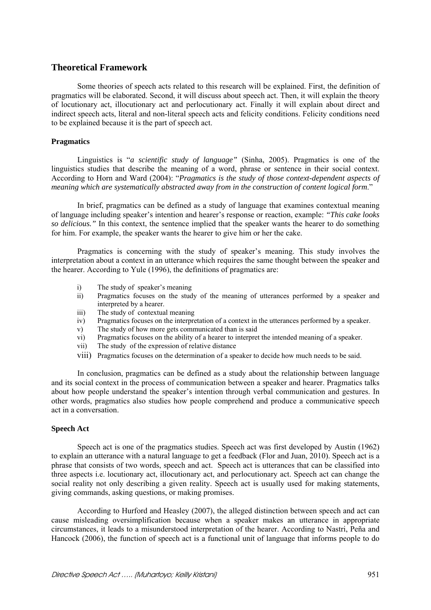## **Theoretical Framework**

Some theories of speech acts related to this research will be explained. First, the definition of pragmatics will be elaborated. Second, it will discuss about speech act. Then, it will explain the theory of locutionary act, illocutionary act and perlocutionary act. Finally it will explain about direct and indirect speech acts, literal and non-literal speech acts and felicity conditions. Felicity conditions need to be explained because it is the part of speech act.

## **Pragmatics**

Linguistics is "*a scientific study of language"* (Sinha, 2005). Pragmatics is one of the linguistics studies that describe the meaning of a word, phrase or sentence in their social context. According to Horn and Ward (2004): "*Pragmatics is the study of those context-dependent aspects of meaning which are systematically abstracted away from in the construction of content logical form*."

In brief, pragmatics can be defined as a study of language that examines contextual meaning of language including speaker's intention and hearer's response or reaction, example: *"This cake looks so delicious."* In this context, the sentence implied that the speaker wants the hearer to do something for him. For example, the speaker wants the hearer to give him or her the cake.

Pragmatics is concerning with the study of speaker's meaning. This study involves the interpretation about a context in an utterance which requires the same thought between the speaker and the hearer. According to Yule (1996), the definitions of pragmatics are:

- i) The study of speaker's meaning
- ii) Pragmatics focuses on the study of the meaning of utterances performed by a speaker and interpreted by a hearer.
- iii) The study of contextual meaning
- iv) Pragmatics focuses on the interpretation of a context in the utterances performed by a speaker.
- v) The study of how more gets communicated than is said
- vi) Pragmatics focuses on the ability of a hearer to interpret the intended meaning of a speaker.
- vii) The study of the expression of relative distance
- viii) Pragmatics focuses on the determination of a speaker to decide how much needs to be said.

In conclusion, pragmatics can be defined as a study about the relationship between language and its social context in the process of communication between a speaker and hearer. Pragmatics talks about how people understand the speaker's intention through verbal communication and gestures. In other words, pragmatics also studies how people comprehend and produce a communicative speech act in a conversation.

#### **Speech Act**

Speech act is one of the pragmatics studies. Speech act was first developed by Austin (1962) to explain an utterance with a natural language to get a feedback (Flor and Juan, 2010). Speech act is a phrase that consists of two words, speech and act. Speech act is utterances that can be classified into three aspects i.e. locutionary act, illocutionary act, and perlocutionary act. Speech act can change the social reality not only describing a given reality. Speech act is usually used for making statements, giving commands, asking questions, or making promises.

According to Hurford and Heasley (2007), the alleged distinction between speech and act can cause misleading oversimplification because when a speaker makes an utterance in appropriate circumstances, it leads to a misunderstood interpretation of the hearer. According to Nastri, Peña and Hancock (2006), the function of speech act is a functional unit of language that informs people to do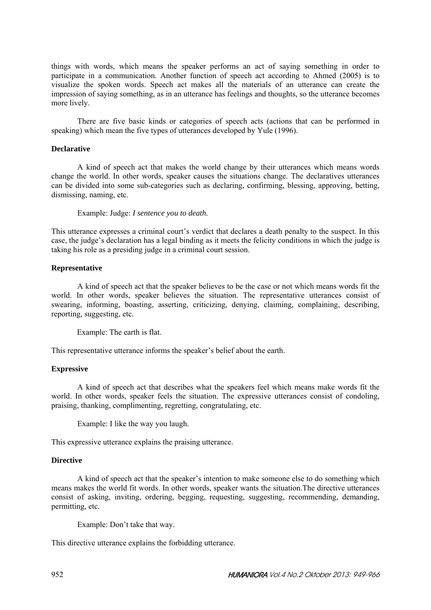things with words, which means the speaker performs an act of saying something in order to participate in a communication. Another function of speech act according to Ahmed (2005) is to visualize the spoken words. Speech act makes all the materials of an utterance can create the impression of saying something, as in an utterance has feelings and thoughts, so the utterance becomes more lively.

There are five basic kinds or categories of speech acts (actions that can be performed in speaking) which mean the five types of utterances developed by Yule (1996).

## **Declarative**

A kind of speech act that makes the world change by their utterances which means words change the world. In other words, speaker causes the situations change. The declaratives utterances can be divided into some sub-categories such as declaring, confirming, blessing, approving, betting, dismissing, naming, etc.

Example: Judge: *I sentence you to death.*

This utterance expresses a criminal court's verdict that declares a death penalty to the suspect. In this case, the judge's declaration has a legal binding as it meets the felicity conditions in which the judge is taking his role as a presiding judge in a criminal court session.

## **Representative**

A kind of speech act that the speaker believes to be the case or not which means words fit the world. In other words, speaker believes the situation. The representative utterances consist of swearing, informing, boasting, asserting, criticizing, denying, claiming, complaining, describing, reporting, suggesting, etc.

Example: The earth is flat.

This representative utterance informs the speaker's belief about the earth.

## **Expressive**

A kind of speech act that describes what the speakers feel which means make words fit the world. In other words, speaker feels the situation. The expressive utterances consist of condoling, praising, thanking, complimenting, regretting, congratulating, etc.

Example: I like the way you laugh.

This expressive utterance explains the praising utterance.

## **Directive**

A kind of speech act that the speaker's intention to make someone else to do something which means makes the world fit words. In other words, speaker wants the situation.The directive utterances consist of asking, inviting, ordering, begging, requesting, suggesting, recommending, demanding, permitting, etc.

Example: Don't take that way.

This directive utterance explains the forbidding utterance.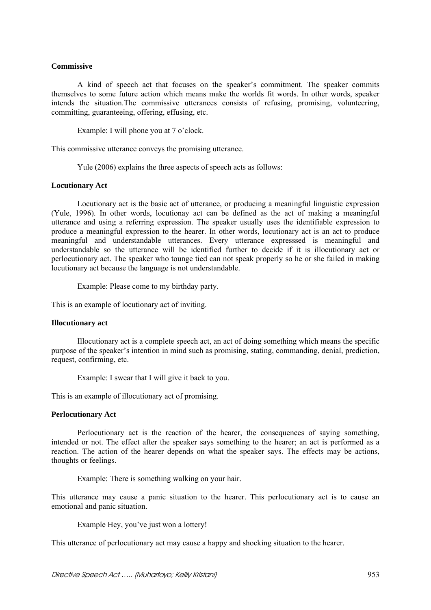### **Commissive**

A kind of speech act that focuses on the speaker's commitment. The speaker commits themselves to some future action which means make the worlds fit words. In other words, speaker intends the situation.The commissive utterances consists of refusing, promising, volunteering, committing, guaranteeing, offering, effusing, etc.

Example: I will phone you at 7 o'clock.

This commissive utterance conveys the promising utterance.

Yule (2006) explains the three aspects of speech acts as follows:

### **Locutionary Act**

Locutionary act is the basic act of utterance, or producing a meaningful linguistic expression (Yule, 1996). In other words, locutionay act can be defined as the act of making a meaningful utterance and using a referring expression. The speaker usually uses the identifiable expression to produce a meaningful expression to the hearer. In other words, locutionary act is an act to produce meaningful and understandable utterances. Every utterance expresssed is meaningful and understandable so the utterance will be identified further to decide if it is illocutionary act or perlocutionary act. The speaker who tounge tied can not speak properly so he or she failed in making locutionary act because the language is not understandable.

Example: Please come to my birthday party.

This is an example of locutionary act of inviting.

#### **Illocutionary act**

Illocutionary act is a complete speech act, an act of doing something which means the specific purpose of the speaker's intention in mind such as promising, stating, commanding, denial, prediction, request, confirming, etc.

Example: I swear that I will give it back to you.

This is an example of illocutionary act of promising.

#### **Perlocutionary Act**

Perlocutionary act is the reaction of the hearer, the consequences of saying something, intended or not. The effect after the speaker says something to the hearer; an act is performed as a reaction. The action of the hearer depends on what the speaker says. The effects may be actions, thoughts or feelings.

Example: There is something walking on your hair.

This utterance may cause a panic situation to the hearer. This perlocutionary act is to cause an emotional and panic situation.

Example Hey, you've just won a lottery!

This utterance of perlocutionary act may cause a happy and shocking situation to the hearer.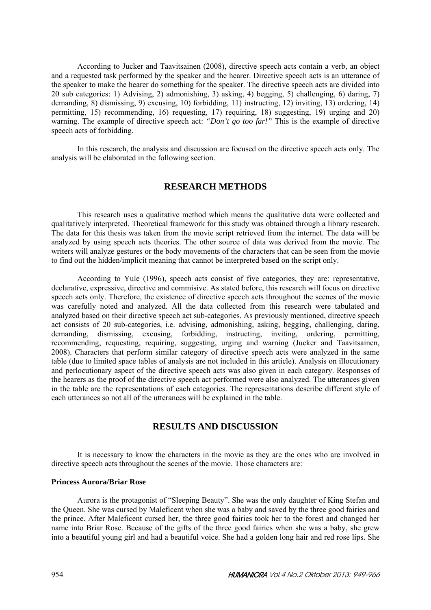According to Jucker and Taavitsainen (2008), directive speech acts contain a verb, an object and a requested task performed by the speaker and the hearer. Directive speech acts is an utterance of the speaker to make the hearer do something for the speaker. The directive speech acts are divided into 20 sub categories: 1) Advising, 2) admonishing, 3) asking, 4) begging, 5) challenging, 6) daring, 7) demanding, 8) dismissing, 9) excusing, 10) forbidding, 11) instructing, 12) inviting, 13) ordering, 14) permitting, 15) recommending, 16) requesting, 17) requiring, 18) suggesting, 19) urging and 20) warning. The example of directive speech act: *"Don't go too far!"* This is the example of directive speech acts of forbidding.

In this research, the analysis and discussion are focused on the directive speech acts only. The analysis will be elaborated in the following section.

# **RESEARCH METHODS**

This research uses a qualitative method which means the qualitative data were collected and qualitatively interpreted. Theoretical framework for this study was obtained through a library research. The data for this thesis was taken from the movie script retrieved from the internet. The data will be analyzed by using speech acts theories. The other source of data was derived from the movie. The writers will analyze gestures or the body movements of the characters that can be seen from the movie to find out the hidden/implicit meaning that cannot be interpreted based on the script only.

According to Yule (1996), speech acts consist of five categories, they are: representative, declarative, expressive, directive and commisive. As stated before, this research will focus on directive speech acts only. Therefore, the existence of directive speech acts throughout the scenes of the movie was carefully noted and analyzed. All the data collected from this research were tabulated and analyzed based on their directive speech act sub-categories. As previously mentioned, directive speech act consists of 20 sub-categories, i.e. advising, admonishing, asking, begging, challenging, daring, demanding, dismissing, excusing, forbidding, instructing, inviting, ordering, permitting, recommending, requesting, requiring, suggesting, urging and warning (Jucker and Taavitsainen, 2008). Characters that perform similar category of directive speech acts were analyzed in the same table (due to limited space tables of analysis are not included in this article). Analysis on illocutionary and perlocutionary aspect of the directive speech acts was also given in each category. Responses of the hearers as the proof of the directive speech act performed were also analyzed. The utterances given in the table are the representations of each categories. The representations describe different style of each utterances so not all of the utterances will be explained in the table.

# **RESULTS AND DISCUSSION**

It is necessary to know the characters in the movie as they are the ones who are involved in directive speech acts throughout the scenes of the movie. Those characters are:

#### **Princess Aurora/Briar Rose**

Aurora is the protagonist of "Sleeping Beauty". She was the only daughter of King Stefan and the Queen. She was cursed by Maleficent when she was a baby and saved by the three good fairies and the prince. After Maleficent cursed her, the three good fairies took her to the forest and changed her name into Briar Rose. Because of the gifts of the three good fairies when she was a baby, she grew into a beautiful young girl and had a beautiful voice. She had a golden long hair and red rose lips. She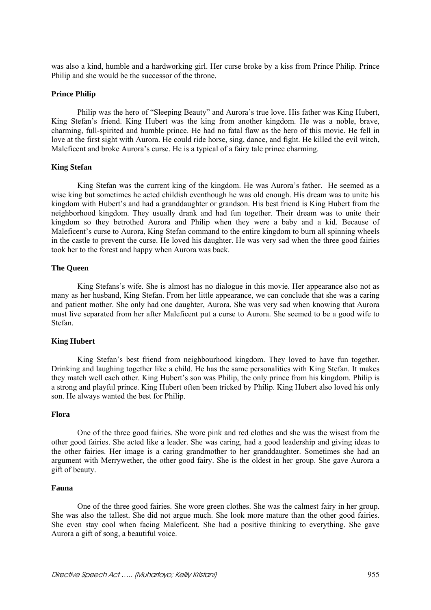was also a kind, humble and a hardworking girl. Her curse broke by a kiss from Prince Philip. Prince Philip and she would be the successor of the throne.

## **Prince Philip**

Philip was the hero of "Sleeping Beauty" and Aurora's true love. His father was King Hubert, King Stefan's friend. King Hubert was the king from another kingdom. He was a noble, brave, charming, full-spirited and humble prince. He had no fatal flaw as the hero of this movie. He fell in love at the first sight with Aurora. He could ride horse, sing, dance, and fight. He killed the evil witch, Maleficent and broke Aurora's curse. He is a typical of a fairy tale prince charming.

### **King Stefan**

King Stefan was the current king of the kingdom. He was Aurora's father. He seemed as a wise king but sometimes he acted childish eventhough he was old enough. His dream was to unite his kingdom with Hubert's and had a granddaughter or grandson. His best friend is King Hubert from the neighborhood kingdom. They usually drank and had fun together. Their dream was to unite their kingdom so they betrothed Aurora and Philip when they were a baby and a kid. Because of Maleficent's curse to Aurora, King Stefan command to the entire kingdom to burn all spinning wheels in the castle to prevent the curse. He loved his daughter. He was very sad when the three good fairies took her to the forest and happy when Aurora was back.

## **The Queen**

King Stefans's wife. She is almost has no dialogue in this movie. Her appearance also not as many as her husband, King Stefan. From her little appearance, we can conclude that she was a caring and patient mother. She only had one daughter, Aurora. She was very sad when knowing that Aurora must live separated from her after Maleficent put a curse to Aurora. She seemed to be a good wife to Stefan.

## **King Hubert**

King Stefan's best friend from neighbourhood kingdom. They loved to have fun together. Drinking and laughing together like a child. He has the same personalities with King Stefan. It makes they match well each other. King Hubert's son was Philip, the only prince from his kingdom. Philip is a strong and playful prince. King Hubert often been tricked by Philip. King Hubert also loved his only son. He always wanted the best for Philip.

#### **Flora**

One of the three good fairies. She wore pink and red clothes and she was the wisest from the other good fairies. She acted like a leader. She was caring, had a good leadership and giving ideas to the other fairies. Her image is a caring grandmother to her granddaughter. Sometimes she had an argument with Merrywether, the other good fairy. She is the oldest in her group. She gave Aurora a gift of beauty.

#### **Fauna**

One of the three good fairies. She wore green clothes. She was the calmest fairy in her group. She was also the tallest. She did not argue much. She look more mature than the other good fairies. She even stay cool when facing Maleficent. She had a positive thinking to everything. She gave Aurora a gift of song, a beautiful voice.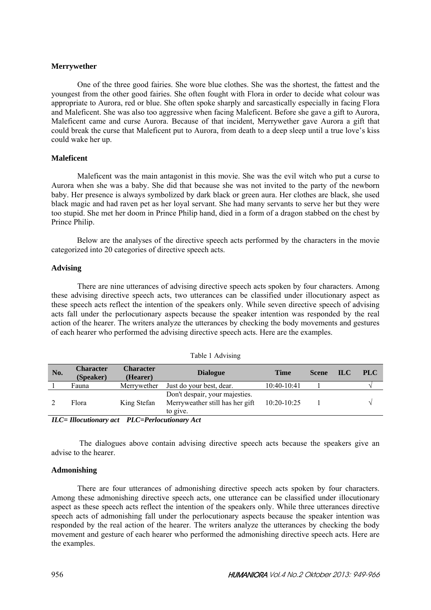### **Merrywether**

One of the three good fairies. She wore blue clothes. She was the shortest, the fattest and the youngest from the other good fairies. She often fought with Flora in order to decide what colour was appropriate to Aurora, red or blue. She often spoke sharply and sarcastically especially in facing Flora and Maleficent. She was also too aggressive when facing Maleficent. Before she gave a gift to Aurora, Maleficent came and curse Aurora. Because of that incident, Merrywether gave Aurora a gift that could break the curse that Maleficent put to Aurora, from death to a deep sleep until a true love's kiss could wake her up.

### **Maleficent**

Maleficent was the main antagonist in this movie. She was the evil witch who put a curse to Aurora when she was a baby. She did that because she was not invited to the party of the newborn baby. Her presence is always symbolized by dark black or green aura. Her clothes are black, she used black magic and had raven pet as her loyal servant. She had many servants to serve her but they were too stupid. She met her doom in Prince Philip hand, died in a form of a dragon stabbed on the chest by Prince Philip.

Below are the analyses of the directive speech acts performed by the characters in the movie categorized into 20 categories of directive speech acts.

### **Advising**

There are nine utterances of advising directive speech acts spoken by four characters. Among these advising directive speech acts, two utterances can be classified under illocutionary aspect as these speech acts reflect the intention of the speakers only. While seven directive speech of advising acts fall under the perlocutionary aspects because the speaker intention was responded by the real action of the hearer. The writers analyze the utterances by checking the body movements and gestures of each hearer who performed the advising directive speech acts. Here are the examples.

| No. | <b>Character</b><br>(Speaker) | <b>Character</b><br>(Hearer) | <b>Dialogue</b>                                                               | <b>Time</b>   | <b>Scene</b> | <b>ILC</b> | <b>PLC</b> |
|-----|-------------------------------|------------------------------|-------------------------------------------------------------------------------|---------------|--------------|------------|------------|
|     | Fauna                         | Merrywether                  | Just do your best, dear.                                                      | 10:40-10:41   |              |            |            |
|     | Flora                         | King Stefan                  | Don't despair, your majesties.<br>Merryweather still has her gift<br>to give. | $10:20-10:25$ |              |            |            |

Table 1 Advising

*ILC= Illocutionary act PLC=Perlocutionary Act* 

 The dialogues above contain advising directive speech acts because the speakers give an advise to the hearer.

#### **Admonishing**

There are four utterances of admonishing directive speech acts spoken by four characters. Among these admonishing directive speech acts, one utterance can be classified under illocutionary aspect as these speech acts reflect the intention of the speakers only. While three utterances directive speech acts of admonishing fall under the perlocutionary aspects because the speaker intention was responded by the real action of the hearer. The writers analyze the utterances by checking the body movement and gesture of each hearer who performed the admonishing directive speech acts. Here are the examples.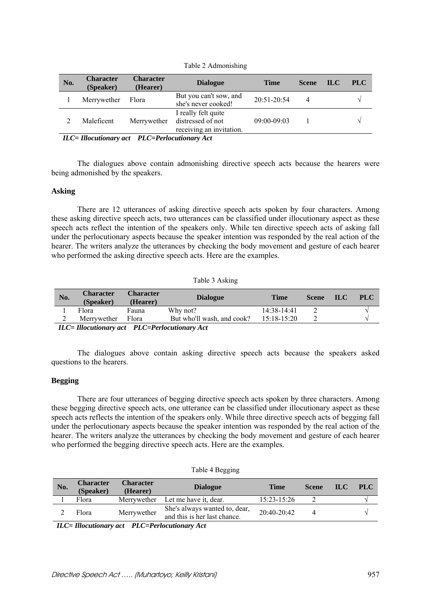| No.                                                 | <b>Character</b><br>(Speaker) | <b>Character</b><br>(Hearer) | <b>Dialogue</b>                                                                                                                                                                                                                                                                                                                | <b>Time</b>     | <b>Scene</b> | <b>ILC</b> | <b>PLC</b>    |
|-----------------------------------------------------|-------------------------------|------------------------------|--------------------------------------------------------------------------------------------------------------------------------------------------------------------------------------------------------------------------------------------------------------------------------------------------------------------------------|-----------------|--------------|------------|---------------|
|                                                     | Merrywether                   | Flora                        | But you can't sow, and<br>she's never cooked!                                                                                                                                                                                                                                                                                  | $20:51-20:54$   | 4            |            |               |
|                                                     | Maleficent                    | Merrywether                  | I really felt quite<br>distressed of not<br>receiving an invitation.                                                                                                                                                                                                                                                           | $09:00 - 09:03$ |              |            | $\mathcal{N}$ |
| $\mathbf{v}$ $\mathbf{v}$ $\mathbf{v}$ $\mathbf{v}$ |                               |                              | $\mathbf{r}$ no $\mathbf{r}$ $\mathbf{r}$ $\mathbf{r}$ $\mathbf{r}$ $\mathbf{r}$ $\mathbf{r}$ $\mathbf{r}$ $\mathbf{r}$ $\mathbf{r}$ $\mathbf{r}$ $\mathbf{r}$ $\mathbf{r}$ $\mathbf{r}$ $\mathbf{r}$ $\mathbf{r}$ $\mathbf{r}$ $\mathbf{r}$ $\mathbf{r}$ $\mathbf{r}$ $\mathbf{r}$ $\mathbf{r}$ $\mathbf{r}$ $\mathbf{r}$ $\$ |                 |              |            |               |

Table 2 Admonishing

*ILC= Illocutionary act PLC=Perlocutionary Act* 

The dialogues above contain admonishing directive speech acts because the hearers were being admonished by the speakers.

#### **Asking**

There are 12 utterances of asking directive speech acts spoken by four characters. Among these asking directive speech acts, two utterances can be classified under illocutionary aspect as these speech acts reflect the intention of the speakers only. While ten directive speech acts of asking fall under the perlocutionary aspects because the speaker intention was responded by the real action of the hearer. The writers analyze the utterances by checking the body movement and gesture of each hearer who performed the asking directive speech acts. Here are the examples.

Table 3 Asking

| No. | <b>Character</b><br>(Speaker)                                                                               | <b>Character</b><br>(Hearer) | <b>Dialogue</b>            | Time          | <b>Scene</b> | - ILC | <b>PLC</b> |  |  |
|-----|-------------------------------------------------------------------------------------------------------------|------------------------------|----------------------------|---------------|--------------|-------|------------|--|--|
|     | Flora                                                                                                       | Fauna                        | Why not?                   | $14:38-14:41$ |              |       |            |  |  |
| ∠   | Merrywether                                                                                                 | Flora                        | But who'll wash, and cook? | $15:18-15:20$ |              |       |            |  |  |
|     | $\mathbf{H} \cap \mathbf{H}$ and consequently $\mathbf{H} \cap \mathbf{H}$ and $\mathbf{H} \cap \mathbf{H}$ |                              |                            |               |              |       |            |  |  |

*ILC= Illocutionary act PLC=Perlocutionary Act* 

The dialogues above contain asking directive speech acts because the speakers asked questions to the hearers.

#### **Begging**

There are four utterances of begging directive speech acts spoken by three characters. Among these begging directive speech acts, one utterance can be classified under illocutionary aspect as these speech acts reflects the intention of the speakers only. While three directive speech acts of begging fall under the perlocutionary aspects because the speaker intention was responded by the real action of the hearer. The writers analyze the utterances by checking the body movement and gesture of each hearer who performed the begging directive speech acts. Here are the examples.

| Table 4 Begging |  |
|-----------------|--|
|-----------------|--|

| No. | <b>Character</b><br>(Speaker) | <b>Character</b><br>(Hearer) | <b>Dialogue</b>                                               | <b>Time</b>     | <b>Scene</b> | IL C | <b>PLC</b> |
|-----|-------------------------------|------------------------------|---------------------------------------------------------------|-----------------|--------------|------|------------|
|     | Flora                         | Merrywether                  | Let me have it, dear.                                         | $15:23 - 15:26$ |              |      |            |
|     | <b>Flora</b>                  | Merrywether                  | She's always wanted to, dear,<br>and this is her last chance. | $20.40 - 20.42$ |              |      |            |
| ___ |                               |                              |                                                               |                 |              |      |            |

*ILC= Illocutionary act PLC=Perlocutionary Act*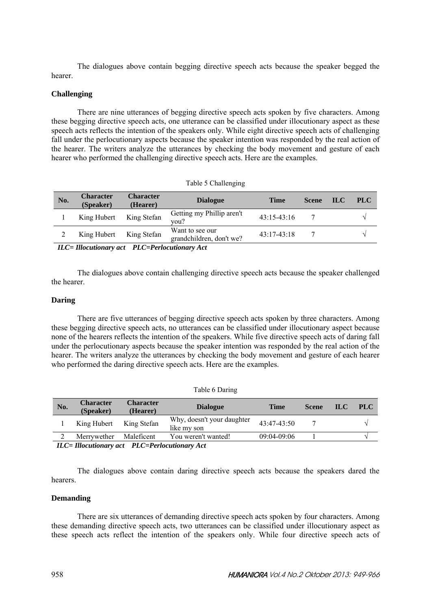The dialogues above contain begging directive speech acts because the speaker begged the hearer.

## **Challenging**

There are nine utterances of begging directive speech acts spoken by five characters. Among these begging directive speech acts, one utterance can be classified under illocutionary aspect as these speech acts reflects the intention of the speakers only. While eight directive speech acts of challenging fall under the perlocutionary aspects because the speaker intention was responded by the real action of the hearer. The writers analyze the utterances by checking the body movement and gesture of each hearer who performed the challenging directive speech acts. Here are the examples.

|  | Table 5 Challenging |
|--|---------------------|
|--|---------------------|

| No. | <b>Character</b><br>(Speaker)                        | <b>Character</b><br>(Hearer) | <b>Dialogue</b>                             | <b>Time</b>   | <b>Scene</b> | <b>ILC</b> | <b>PLC</b> |  |  |
|-----|------------------------------------------------------|------------------------------|---------------------------------------------|---------------|--------------|------------|------------|--|--|
|     | King Hubert                                          | King Stefan                  | Getting my Phillip aren't<br>vou?           | $43:15-43:16$ |              |            |            |  |  |
|     | King Hubert                                          | King Stefan                  | Want to see our<br>grandchildren, don't we? | $43:17-43:18$ |              |            |            |  |  |
|     | $ILC = Illocution$ act $PLC = Perlocution$ are $Act$ |                              |                                             |               |              |            |            |  |  |

*ILC= Illocutionary act PLC=Perlocutionary Act* 

The dialogues above contain challenging directive speech acts because the speaker challenged the hearer.

### **Daring**

There are five utterances of begging directive speech acts spoken by three characters. Among these begging directive speech acts, no utterances can be classified under illocutionary aspect because none of the hearers reflects the intention of the speakers. While five directive speech acts of daring fall under the perlocutionary aspects because the speaker intention was responded by the real action of the hearer. The writers analyze the utterances by checking the body movement and gesture of each hearer who performed the daring directive speech acts. Here are the examples.

|                                               |                               |                              | rable o Daring                            |                 |              |            |            |
|-----------------------------------------------|-------------------------------|------------------------------|-------------------------------------------|-----------------|--------------|------------|------------|
| No.                                           | <b>Character</b><br>(Speaker) | <b>Character</b><br>(Hearer) | <b>Dialogue</b>                           | <b>Time</b>     | <b>Scene</b> | <b>ILC</b> | <b>PLC</b> |
|                                               | King Hubert                   | King Stefan                  | Why, doesn't your daughter<br>like my son | $43.47 - 43.50$ |              |            |            |
| ∍                                             | Merrywether                   | Maleficent                   | You weren't wanted!                       | 09:04-09:06     |              |            |            |
| ILC= Illocutionary act PLC=Perlocutionary Act |                               |                              |                                           |                 |              |            |            |

 $T1 \times D$ 

The dialogues above contain daring directive speech acts because the speakers dared the hearers.

### **Demanding**

There are six utterances of demanding directive speech acts spoken by four characters. Among these demanding directive speech acts, two utterances can be classified under illocutionary aspect as these speech acts reflect the intention of the speakers only. While four directive speech acts of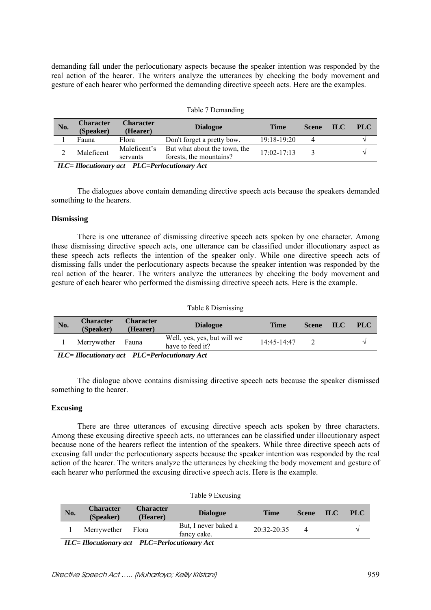demanding fall under the perlocutionary aspects because the speaker intention was responded by the real action of the hearer. The writers analyze the utterances by checking the body movement and gesture of each hearer who performed the demanding directive speech acts. Here are the examples.

|     |                               |                              | $14010 + 120114114115$                                  |                 |              |      |            |
|-----|-------------------------------|------------------------------|---------------------------------------------------------|-----------------|--------------|------|------------|
| No. | <b>Character</b><br>(Speaker) | <b>Character</b><br>(Hearer) | <b>Dialogue</b>                                         | <b>Time</b>     | <b>Scene</b> | ILC. | <b>PLC</b> |
|     | Fauna                         | Flora                        | Don't forget a pretty bow.                              | $19:18-19:20$   |              |      |            |
|     | Maleficent                    | Maleficent's<br>servants     | But what about the town, the<br>forests, the mountains? | $17:02 - 17:13$ |              |      |            |

Table 7 Demanding

*ILC= Illocutionary act PLC=Perlocutionary Act* 

The dialogues above contain demanding directive speech acts because the speakers demanded something to the hearers.

### **Dismissing**

There is one utterance of dismissing directive speech acts spoken by one character. Among these dismissing directive speech acts, one utterance can be classified under illocutionary aspect as these speech acts reflects the intention of the speaker only. While one directive speech acts of dismissing falls under the perlocutionary aspects because the speaker intention was responded by the real action of the hearer. The writers analyze the utterances by checking the body movement and gesture of each hearer who performed the dismissing directive speech acts. Here is the example.

|     |                                                                                                                                                |                              | Table 8 Dismissing                              |                 |              |            |            |  |
|-----|------------------------------------------------------------------------------------------------------------------------------------------------|------------------------------|-------------------------------------------------|-----------------|--------------|------------|------------|--|
| No. | <b>Character</b><br>(Speaker)                                                                                                                  | <b>Character</b><br>(Hearer) | <b>Dialogue</b>                                 | Time            | <b>Scene</b> | <b>ILC</b> | <b>PLC</b> |  |
|     | Merrywether                                                                                                                                    | Fauna                        | Well, yes, yes, but will we<br>have to feed it? | $14.45 - 14.47$ |              |            |            |  |
|     | $\mathbf{H} \cap \mathbf{H}$ is a set of $\mathbf{H} \cap \mathbf{H}$ if $\mathbf{H} \cap \mathbf{H}$ is a set of $\mathbf{H} \cap \mathbf{H}$ |                              |                                                 |                 |              |            |            |  |

*ILC= Illocutionary act PLC=Perlocutionary Act* 

The dialogue above contains dismissing directive speech acts because the speaker dismissed something to the hearer.

## **Excusing**

There are three utterances of excusing directive speech acts spoken by three characters. Among these excusing directive speech acts, no utterances can be classified under illocutionary aspect because none of the hearers reflect the intention of the speakers. While three directive speech acts of excusing fall under the perlocutionary aspects because the speaker intention was responded by the real action of the hearer. The writers analyze the utterances by checking the body movement and gesture of each hearer who performed the excusing directive speech acts. Here is the example.

|     |                               |                              | <b>LAURE 7</b> EXUMBILIZ            |               |          |            |            |
|-----|-------------------------------|------------------------------|-------------------------------------|---------------|----------|------------|------------|
| No. | <b>Character</b><br>(Speaker) | <b>Character</b><br>(Hearer) | <b>Dialogue</b>                     | Time          | Scene    | <b>ILC</b> | <b>PLC</b> |
|     | Merrywether                   | Flora                        | But, I never baked a<br>fancy cake. | $20:32-20:35$ | $\Delta$ |            |            |

Table 9 Excusing

*ILC= Illocutionary act PLC=Perlocutionary Act*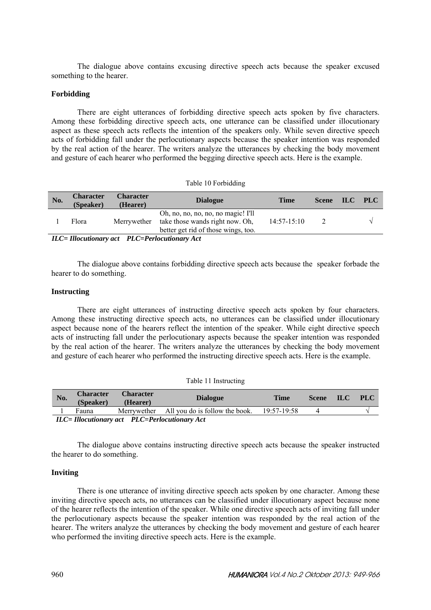The dialogue above contains excusing directive speech acts because the speaker excused something to the hearer.

## **Forbidding**

There are eight utterances of forbidding directive speech acts spoken by five characters. Among these forbidding directive speech acts, one utterance can be classified under illocutionary aspect as these speech acts reflects the intention of the speakers only. While seven directive speech acts of forbidding fall under the perlocutionary aspects because the speaker intention was responded by the real action of the hearer. The writers analyze the utterances by checking the body movement and gesture of each hearer who performed the begging directive speech acts. Here is the example.

#### Table 10 Forbidding

| No. | <b>Character</b><br>(Speaker)                 | <b>Character</b><br>(Hearer) | <b>Dialogue</b>                                                                                              | Time          | <b>Scene</b> | $\blacksquare$ | PLC |  |  |
|-----|-----------------------------------------------|------------------------------|--------------------------------------------------------------------------------------------------------------|---------------|--------------|----------------|-----|--|--|
|     | Flora                                         | Merrywether                  | Oh, no, no, no, no, no magic! I'll<br>take those wands right now. Oh,<br>better get rid of those wings, too. | $14:57-15:10$ |              |                |     |  |  |
|     | ILC= Illocutionary act PLC=Perlocutionary Act |                              |                                                                                                              |               |              |                |     |  |  |

The dialogue above contains forbidding directive speech acts because the speaker forbade the hearer to do something.

## **Instructing**

There are eight utterances of instructing directive speech acts spoken by four characters. Among these instructing directive speech acts, no utterances can be classified under illocutionary aspect because none of the hearers reflect the intention of the speaker. While eight directive speech acts of instructing fall under the perlocutionary aspects because the speaker intention was responded by the real action of the hearer. The writers analyze the utterances by checking the body movement and gesture of each hearer who performed the instructing directive speech acts. Here is the example.

| No. | <b>Character</b><br>(Speaker)                 | <b>Character</b><br>(Hearer) | <b>Dialogue</b>                            | <b>Time</b> | <b>Scene</b> | $\mathbf{ILC}$ | <b>PLC</b> |  |
|-----|-----------------------------------------------|------------------------------|--------------------------------------------|-------------|--------------|----------------|------------|--|
|     | Fauna                                         |                              | Merrywether All you do is follow the book. | 19:57-19:58 |              |                |            |  |
|     | ILC= Illocutionary act PLC=Perlocutionary Act |                              |                                            |             |              |                |            |  |

The dialogue above contains instructing directive speech acts because the speaker instructed the hearer to do something.

## **Inviting**

There is one utterance of inviting directive speech acts spoken by one character. Among these inviting directive speech acts, no utterances can be classified under illocutionary aspect because none of the hearer reflects the intention of the speaker. While one directive speech acts of inviting fall under the perlocutionary aspects because the speaker intention was responded by the real action of the hearer. The writers analyze the utterances by checking the body movement and gesture of each hearer who performed the inviting directive speech acts. Here is the example.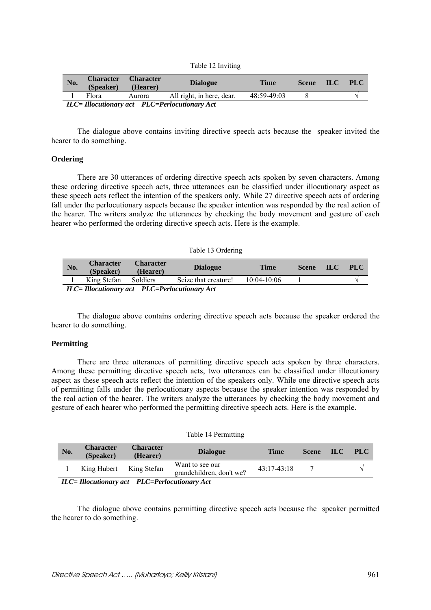|  |  | Table 12 Inviting |
|--|--|-------------------|
|--|--|-------------------|

| No. | <b>Character</b><br>(Speaker)                         | <b>Character</b><br>(Hearer) | <b>Dialogue</b>           | Time        | <b>Scene</b> | <b>ILC</b> | <b>PLC</b> |  |  |
|-----|-------------------------------------------------------|------------------------------|---------------------------|-------------|--------------|------------|------------|--|--|
|     | Flora                                                 | Aurora                       | All right, in here, dear. | 48:59-49:03 |              |            |            |  |  |
|     | <b>ILC</b> = Illocutionary act PLC=Perlocutionary Act |                              |                           |             |              |            |            |  |  |

The dialogue above contains inviting directive speech acts because the speaker invited the hearer to do something.

### **Ordering**

There are 30 utterances of ordering directive speech acts spoken by seven characters. Among these ordering directive speech acts, three utterances can be classified under illocutionary aspect as these speech acts reflect the intention of the speakers only. While 27 directive speech acts of ordering fall under the perlocutionary aspects because the speaker intention was responded by the real action of the hearer. The writers analyze the utterances by checking the body movement and gesture of each hearer who performed the ordering directive speech acts. Here is the example.

#### Table 13 Ordering

| No. | <b>Character</b><br>(Speaker)                        | <b>Character</b><br>(Hearer) | <b>Dialogue</b>      | Time            | <b>Scene</b> | <b>ILC</b> | <b>PLC</b> |  |
|-----|------------------------------------------------------|------------------------------|----------------------|-----------------|--------------|------------|------------|--|
|     | King Stefan                                          | Soldiers                     | Seize that creature! | $10:04 - 10:06$ |              |            |            |  |
|     | $ILC = Illocution$ act $PLC = Perlocution$ are $Act$ |                              |                      |                 |              |            |            |  |

*Illocutionary act PLC=Perlocutionary* 

The dialogue above contains ordering directive speech acts because the speaker ordered the hearer to do something.

## **Permitting**

There are three utterances of permitting directive speech acts spoken by three characters. Among these permitting directive speech acts, two utterances can be classified under illocutionary aspect as these speech acts reflect the intention of the speakers only. While one directive speech acts of permitting falls under the perlocutionary aspects because the speaker intention was responded by the real action of the hearer. The writers analyze the utterances by checking the body movement and gesture of each hearer who performed the permitting directive speech acts. Here is the example.

| Table 14 Permitting                                              |                               |                                                                  |                                                                                                                                                                                                                                 |               |              |      |      |  |
|------------------------------------------------------------------|-------------------------------|------------------------------------------------------------------|---------------------------------------------------------------------------------------------------------------------------------------------------------------------------------------------------------------------------------|---------------|--------------|------|------|--|
| No.                                                              | <b>Character</b><br>(Speaker) | <b>Character</b><br>(Hearer)                                     | <b>Dialogue</b>                                                                                                                                                                                                                 | <b>Time</b>   | <b>Scene</b> | ILC. | PLC. |  |
|                                                                  | King Hubert                   | King Stefan                                                      | Want to see our<br>grandchildren, don't we?                                                                                                                                                                                     | $43:17-43:18$ |              |      |      |  |
| $\mathbf{v}$ $\mathbf{v}$ $\mathbf{v}$ $\mathbf{v}$ $\mathbf{v}$ |                               | $\mathbf{r}$ $\mathbf{r}$ $\mathbf{r}$ $\mathbf{r}$ $\mathbf{r}$ | $\sim$ . The contract of the contract of the contract of the contract of the contract of the contract of the contract of the contract of the contract of the contract of the contract of the contract of the contract of the co |               |              |      |      |  |

*ILC= Illocutionary act PLC=Perlocutionary Act* 

The dialogue above contains permitting directive speech acts because the speaker permitted the hearer to do something.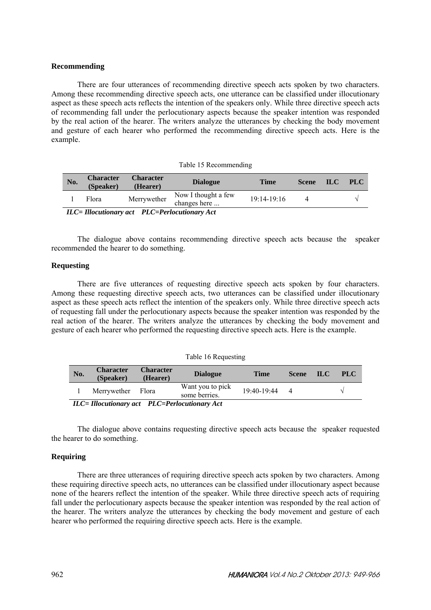#### **Recommending**

There are four utterances of recommending directive speech acts spoken by two characters. Among these recommending directive speech acts, one utterance can be classified under illocutionary aspect as these speech acts reflects the intention of the speakers only. While three directive speech acts of recommending fall under the perlocutionary aspects because the speaker intention was responded by the real action of the hearer. The writers analyze the utterances by checking the body movement and gesture of each hearer who performed the recommending directive speech acts. Here is the example.

|  |  | Table 15 Recommending |
|--|--|-----------------------|
|--|--|-----------------------|

| No. | <b>Character</b><br>(Speaker)                                                                                    | <b>Character</b><br>(Hearer) | <b>Dialogue</b>                     | Time          | <b>Scene</b> | - ILCZ | <b>PLC</b> |  |  |
|-----|------------------------------------------------------------------------------------------------------------------|------------------------------|-------------------------------------|---------------|--------------|--------|------------|--|--|
|     | Flora                                                                                                            | Merrywether                  | Now I thought a few<br>changes here | $19:14-19:16$ |              |        |            |  |  |
|     | $\overline{H}C$ – $\overline{H}$ continuous act $\overline{P}$ $\overline{L}$ – $\overline{P}$ expositionary Act |                              |                                     |               |              |        |            |  |  |

*ILC= Illocutionary act PLC=Perlocutionary Act* 

The dialogue above contains recommending directive speech acts because the speaker recommended the hearer to do something.

### **Requesting**

There are five utterances of requesting directive speech acts spoken by four characters. Among these requesting directive speech acts, two utterances can be classified under illocutionary aspect as these speech acts reflect the intention of the speakers only. While three directive speech acts of requesting fall under the perlocutionary aspects because the speaker intention was responded by the real action of the hearer. The writers analyze the utterances by checking the body movement and gesture of each hearer who performed the requesting directive speech acts. Here is the example.

|  |  |  | Table 16 Requesting |
|--|--|--|---------------------|
|--|--|--|---------------------|

| No. | <b>Character</b><br>(Speaker)                         | <b>Character</b><br>(Hearer) | <b>Dialogue</b>                   | <b>Time</b>       | <b>Scene</b> | ILC. | <b>PLC</b> |  |  |
|-----|-------------------------------------------------------|------------------------------|-----------------------------------|-------------------|--------------|------|------------|--|--|
|     | Merrywether Flora                                     |                              | Want you to pick<br>some berries. | $19.40 - 19.44$ 4 |              |      |            |  |  |
|     | <b>ILC</b> = Illocutionary act PLC=Perlocutionary Act |                              |                                   |                   |              |      |            |  |  |

The dialogue above contains requesting directive speech acts because the speaker requested the hearer to do something.

## **Requiring**

There are three utterances of requiring directive speech acts spoken by two characters. Among these requiring directive speech acts, no utterances can be classified under illocutionary aspect because none of the hearers reflect the intention of the speaker. While three directive speech acts of requiring fall under the perlocutionary aspects because the speaker intention was responded by the real action of the hearer. The writers analyze the utterances by checking the body movement and gesture of each hearer who performed the requiring directive speech acts. Here is the example.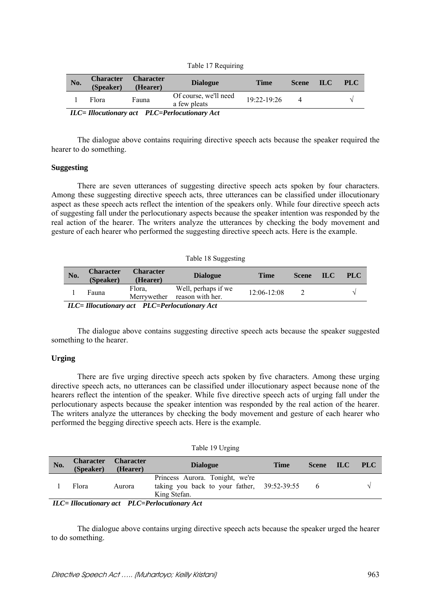|  | Table 17 Requiring |
|--|--------------------|
|  |                    |

| No. | <b>Character</b><br>(Speaker)                         | <b>Character</b><br>(Hearer) | <b>Dialogue</b>                       | <b>Time</b>     | Scene <b>ILC</b> |  | <b>PLC</b> |  |  |
|-----|-------------------------------------------------------|------------------------------|---------------------------------------|-----------------|------------------|--|------------|--|--|
|     | Flora                                                 | Fauna                        | Of course, we'll need<br>a few pleats | $19:22 - 19:26$ |                  |  |            |  |  |
|     | <b>ILC</b> = Illocutionary act PLC=Perlocutionary Act |                              |                                       |                 |                  |  |            |  |  |

The dialogue above contains requiring directive speech acts because the speaker required the hearer to do something.

#### **Suggesting**

There are seven utterances of suggesting directive speech acts spoken by four characters. Among these suggesting directive speech acts, three utterances can be classified under illocutionary aspect as these speech acts reflect the intention of the speakers only. While four directive speech acts of suggesting fall under the perlocutionary aspects because the speaker intention was responded by the real action of the hearer. The writers analyze the utterances by checking the body movement and gesture of each hearer who performed the suggesting directive speech acts. Here is the example.

#### Table 18 Suggesting

| No. | <b>Character</b><br>(Speaker)                 | <b>Character</b><br>(Hearer) | <b>Dialogue</b>                                     | <b>Time</b>     | <b>Scene</b> | <b>ILC</b> | <b>PLC</b> |
|-----|-----------------------------------------------|------------------------------|-----------------------------------------------------|-----------------|--------------|------------|------------|
|     | Fauna                                         | Flora,                       | Well, perhaps if we<br>Merrywether reason with her. | $12:06 - 12:08$ |              |            |            |
|     | ILC= Illocutionary act PLC=Perlocutionary Act |                              |                                                     |                 |              |            |            |

The dialogue above contains suggesting directive speech acts because the speaker suggested something to the hearer.

#### **Urging**

There are five urging directive speech acts spoken by five characters. Among these urging directive speech acts, no utterances can be classified under illocutionary aspect because none of the hearers reflect the intention of the speaker. While five directive speech acts of urging fall under the perlocutionary aspects because the speaker intention was responded by the real action of the hearer. The writers analyze the utterances by checking the body movement and gesture of each hearer who performed the begging directive speech acts. Here is the example.

#### Table 19 Urging

| No. | <b>Character</b><br>(Speaker)                         | <b>Character</b><br>(Hearer) | <b>Dialogue</b>                                                                                | Time | <b>Scene</b> | $\mathbf{ILC}$ | PLC |  |
|-----|-------------------------------------------------------|------------------------------|------------------------------------------------------------------------------------------------|------|--------------|----------------|-----|--|
|     | Flora                                                 | Aurora                       | Princess Aurora. Tonight, we're<br>taking you back to your father, 39:52-39:55<br>King Stefan. |      |              |                |     |  |
|     | <b>ILC</b> = Illocutionary act PLC=Perlocutionary Act |                              |                                                                                                |      |              |                |     |  |

The dialogue above contains urging directive speech acts because the speaker urged the hearer to do something.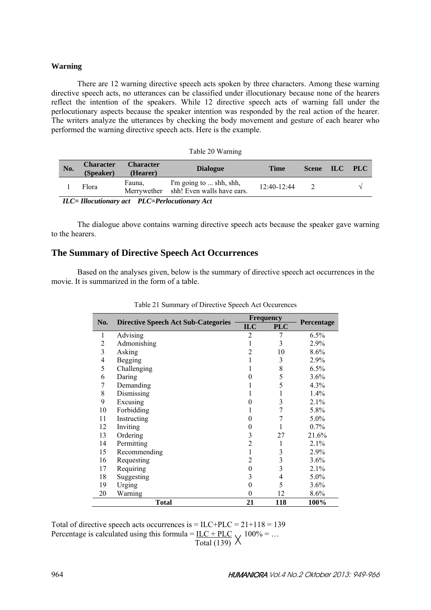### **Warning**

There are 12 warning directive speech acts spoken by three characters. Among these warning directive speech acts, no utterances can be classified under illocutionary because none of the hearers reflect the intention of the speakers. While 12 directive speech acts of warning fall under the perlocutionary aspects because the speaker intention was responded by the real action of the hearer. The writers analyze the utterances by checking the body movement and gesture of each hearer who performed the warning directive speech acts. Here is the example.

| Table 20 Warning |                                               |                              |                                                                   |                 |              |                |  |  |
|------------------|-----------------------------------------------|------------------------------|-------------------------------------------------------------------|-----------------|--------------|----------------|--|--|
| No.              | <b>Character</b><br>(Speaker)                 | <b>Character</b><br>(Hearer) | <b>Dialogue</b>                                                   | <b>Time</b>     | <b>Scene</b> | <b>ILC PLC</b> |  |  |
|                  | Flora                                         | Fauna.                       | I'm going to  shh, shh,<br>Merrywether shh! Even walls have ears. | $12.40 - 12.44$ |              |                |  |  |
|                  | ILC= Illocutionary act PLC=Perlocutionary Act |                              |                                                                   |                 |              |                |  |  |

The dialogue above contains warning directive speech acts because the speaker gave warning to the hearers.

# **The Summary of Directive Speech Act Occurrences**

Based on the analyses given, below is the summary of directive speech act occurrences in the movie. It is summarized in the form of a table.

|                |                                            |                | <b>Frequency</b> |            |  |
|----------------|--------------------------------------------|----------------|------------------|------------|--|
| No.            | <b>Directive Speech Act Sub-Categories</b> | <b>ILC</b>     | <b>PLC</b>       | Percentage |  |
| 1              | Advising                                   | 2              | 7                | 6.5%       |  |
| $\overline{c}$ | Admonishing                                |                | 3                | 2.9%       |  |
| $\mathfrak{Z}$ | Asking                                     | $\overline{2}$ | 10               | $8.6\%$    |  |
| 4              | Begging                                    |                | 3                | 2.9%       |  |
| 5              | Challenging                                |                | 8                | 6.5%       |  |
| 6              | Daring                                     | 0              | 5                | 3.6%       |  |
| 7              | Demanding                                  |                | 5                | $4.3\%$    |  |
| 8              | Dismissing                                 |                | 1                | $1.4\%$    |  |
| 9              | Excusing                                   | 0              | 3                | 2.1%       |  |
| 10             | Forbidding                                 |                | 7                | 5.8%       |  |
| 11             | Instructing                                | 0              | 7                | 5.0%       |  |
| 12             | Inviting                                   | 0              |                  | 0.7%       |  |
| 13             | Ordering                                   | 3              | 27               | 21.6%      |  |
| 14             | Permitting                                 | 2              | 1                | 2.1%       |  |
| 15             | Recommending                               |                | 3                | 2.9%       |  |
| 16             | Requesting                                 | 2              | 3                | 3.6%       |  |
| 17             | Requiring                                  | 0              | 3                | 2.1%       |  |
| 18             | Suggesting                                 | 3              | 4                | 5.0%       |  |
| 19             | Urging                                     | 0              | 5                | 3.6%       |  |
| 20             | Warning                                    | 0              | 12               | 8.6%       |  |
|                | <b>Total</b>                               | 21             | 118              | 100%       |  |

Table 21 Summary of Directive Speech Act Occurences

Total of directive speech acts occurrences is  $= ILC+PLC = 21+118 = 139$ Percentage is calculated using this formula =  $\text{ILC} + \text{PLC}$  100% = ... Total (139)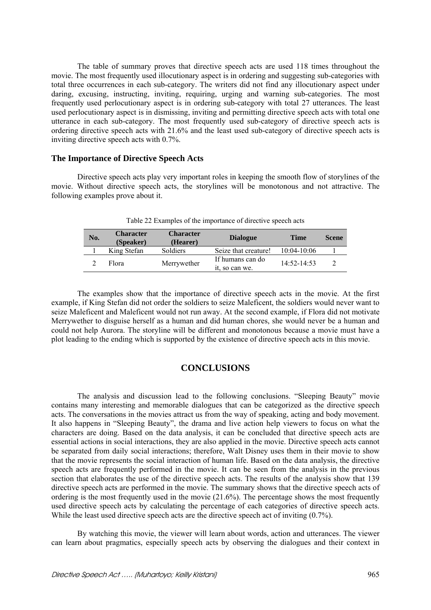The table of summary proves that directive speech acts are used 118 times throughout the movie. The most frequently used illocutionary aspect is in ordering and suggesting sub-categories with total three occurrences in each sub-category. The writers did not find any illocutionary aspect under daring, excusing, instructing, inviting, requiring, urging and warning sub-categories. The most frequently used perlocutionary aspect is in ordering sub-category with total 27 utterances. The least used perlocutionary aspect is in dismissing, inviting and permitting directive speech acts with total one utterance in each sub-category. The most frequently used sub-category of directive speech acts is ordering directive speech acts with 21.6% and the least used sub-category of directive speech acts is inviting directive speech acts with 0.7%.

### **The Importance of Directive Speech Acts**

Directive speech acts play very important roles in keeping the smooth flow of storylines of the movie. Without directive speech acts, the storylines will be monotonous and not attractive. The following examples prove about it.

| No. | <b>Character</b><br>(Speaker) | <b>Character</b><br>(Hearer) | <b>Dialogue</b>                    | <b>Time</b>     | <b>Scene</b> |
|-----|-------------------------------|------------------------------|------------------------------------|-----------------|--------------|
|     | King Stefan                   | Soldiers                     | Seize that creature!               | $10:04 - 10:06$ |              |
|     | Flora                         | Merrywether                  | If humans can do<br>it, so can we. | $14.52 - 14.53$ |              |

Table 22 Examples of the importance of directive speech acts

The examples show that the importance of directive speech acts in the movie. At the first example, if King Stefan did not order the soldiers to seize Maleficent, the soldiers would never want to seize Maleficent and Maleficent would not run away. At the second example, if Flora did not motivate Merrywether to disguise herself as a human and did human chores, she would never be a human and could not help Aurora. The storyline will be different and monotonous because a movie must have a plot leading to the ending which is supported by the existence of directive speech acts in this movie.

## **CONCLUSIONS**

The analysis and discussion lead to the following conclusions. "Sleeping Beauty" movie contains many interesting and memorable dialogues that can be categorized as the directive speech acts. The conversations in the movies attract us from the way of speaking, acting and body movement. It also happens in "Sleeping Beauty", the drama and live action help viewers to focus on what the characters are doing. Based on the data analysis, it can be concluded that directive speech acts are essential actions in social interactions, they are also applied in the movie. Directive speech acts cannot be separated from daily social interactions; therefore, Walt Disney uses them in their movie to show that the movie represents the social interaction of human life. Based on the data analysis, the directive speech acts are frequently performed in the movie. It can be seen from the analysis in the previous section that elaborates the use of the directive speech acts. The results of the analysis show that 139 directive speech acts are performed in the movie. The summary shows that the directive speech acts of ordering is the most frequently used in the movie (21.6%). The percentage shows the most frequently used directive speech acts by calculating the percentage of each categories of directive speech acts. While the least used directive speech acts are the directive speech act of inviting  $(0.7\%)$ .

By watching this movie, the viewer will learn about words, action and utterances. The viewer can learn about pragmatics, especially speech acts by observing the dialogues and their context in